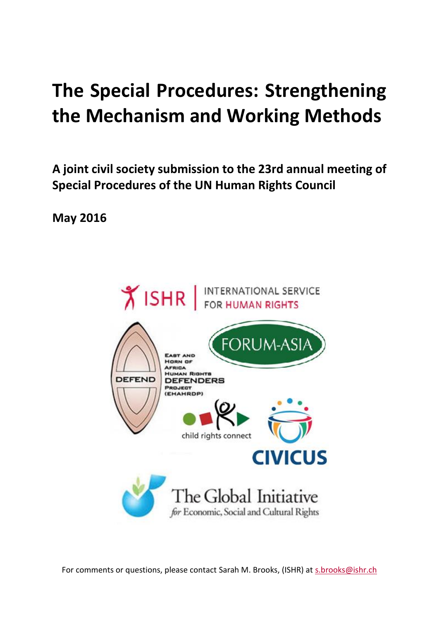# **The Special Procedures: Strengthening the Mechanism and Working Methods**

**A joint civil society submission to the 23rd annual meeting of Special Procedures of the UN Human Rights Council**

**May 2016**



For comments or questions, please contact Sarah M. Brooks, (ISHR) at [s.brooks@ishr.ch](mailto:s.brooks@ishr.ch)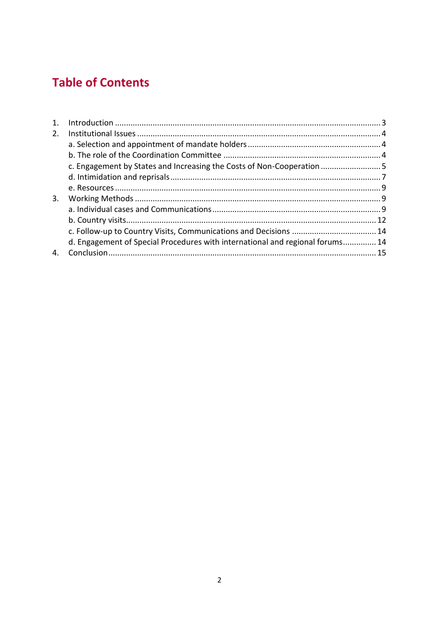# **Table of Contents**

| 1 <sub>1</sub> |                                                                               |  |
|----------------|-------------------------------------------------------------------------------|--|
| 2.             |                                                                               |  |
|                |                                                                               |  |
|                |                                                                               |  |
|                | c. Engagement by States and Increasing the Costs of Non-Cooperation           |  |
|                |                                                                               |  |
|                |                                                                               |  |
| 3.             |                                                                               |  |
|                |                                                                               |  |
|                |                                                                               |  |
|                |                                                                               |  |
|                | d. Engagement of Special Procedures with international and regional forums 14 |  |
|                |                                                                               |  |
|                |                                                                               |  |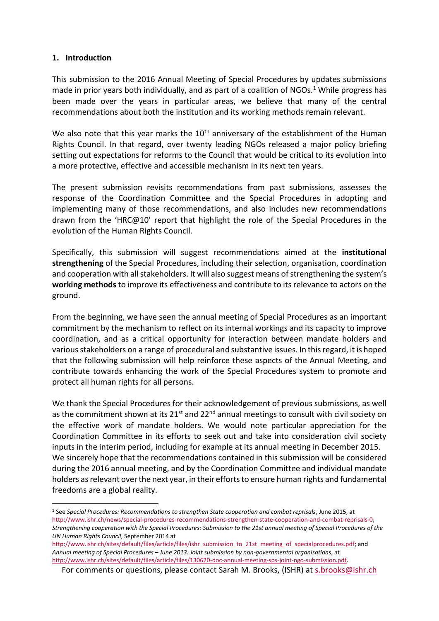#### **1. Introduction**

**.** 

This submission to the 2016 Annual Meeting of Special Procedures by updates submissions made in prior years both individually, and as part of a coalition of NGOs.<sup>1</sup> While progress has been made over the years in particular areas, we believe that many of the central recommendations about both the institution and its working methods remain relevant.

We also note that this year marks the  $10<sup>th</sup>$  anniversary of the establishment of the Human Rights Council. In that regard, over twenty leading NGOs released a major policy briefing setting out expectations for reforms to the Council that would be critical to its evolution into a more protective, effective and accessible mechanism in its next ten years.

The present submission revisits recommendations from past submissions, assesses the response of the Coordination Committee and the Special Procedures in adopting and implementing many of those recommendations, and also includes new recommendations drawn from the 'HRC@10' report that highlight the role of the Special Procedures in the evolution of the Human Rights Council.

Specifically, this submission will suggest recommendations aimed at the **institutional strengthening** of the Special Procedures, including their selection, organisation, coordination and cooperation with all stakeholders. It will also suggest means of strengthening the system's **working methods** to improve its effectiveness and contribute to its relevance to actors on the ground.

From the beginning, we have seen the annual meeting of Special Procedures as an important commitment by the mechanism to reflect on its internal workings and its capacity to improve coordination, and as a critical opportunity for interaction between mandate holders and various stakeholders on a range of procedural and substantive issues. In this regard, it is hoped that the following submission will help reinforce these aspects of the Annual Meeting, and contribute towards enhancing the work of the Special Procedures system to promote and protect all human rights for all persons.

We thank the Special Procedures for their acknowledgement of previous submissions, as well as the commitment shown at its  $21^{st}$  and  $22^{nd}$  annual meetings to consult with civil society on the effective work of mandate holders. We would note particular appreciation for the Coordination Committee in its efforts to seek out and take into consideration civil society inputs in the interim period, including for example at its annual meeting in December 2015. We sincerely hope that the recommendations contained in this submission will be considered during the 2016 annual meeting, and by the Coordination Committee and individual mandate holders as relevant over the next year, in their efforts to ensure human rights and fundamental freedoms are a global reality.

<sup>1</sup> See *Special Procedures: Recommendations to strengthen State cooperation and combat reprisals*, June 2015, at [http://www.ishr.ch/news/special-procedures-recommendations-strengthen-state-cooperation-and-combat-reprisals-0;](http://www.ishr.ch/news/special-procedures-recommendations-strengthen-state-cooperation-and-combat-reprisals-0) *Strengthening cooperation with the Special Procedures: Submission to the 21st annual meeting of Special Procedures of the* 

*UN Human Rights Council*, September 2014 at [http://www.ishr.ch/sites/default/files/article/files/ishr\\_submission\\_to\\_21st\\_meeting\\_of\\_specialprocedures.pdf;](http://www.ishr.ch/sites/default/files/article/files/ishr_submission_to_21st_meeting_of_specialprocedures.pdf) and *Annual meeting of Special Procedures – June 2013. Joint submission by non-governmental organisations*, at [http://www.ishr.ch/sites/default/files/article/files/130620-doc-annual-meeting-sps-joint-ngo-submission.pdf.](http://www.ishr.ch/sites/default/files/article/files/130620-doc-annual-meeting-sps-joint-ngo-submission.pdf)

For comments or questions, please contact Sarah M. Brooks, (ISHR) at [s.brooks@ishr.ch](mailto:s.brooks@ishr.ch)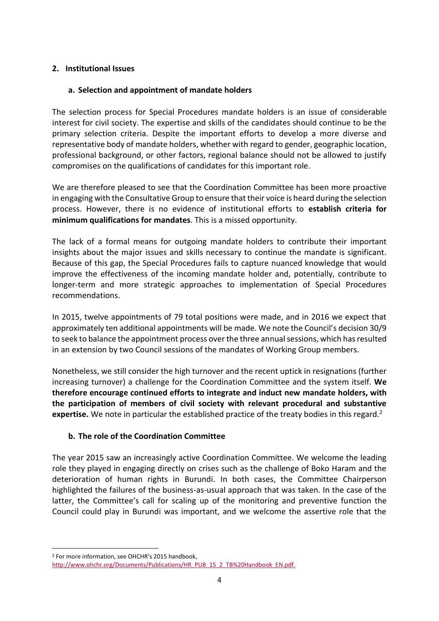#### **2. Institutional Issues**

#### **a. Selection and appointment of mandate holders**

The selection process for Special Procedures mandate holders is an issue of considerable interest for civil society. The expertise and skills of the candidates should continue to be the primary selection criteria. Despite the important efforts to develop a more diverse and representative body of mandate holders, whether with regard to gender, geographic location, professional background, or other factors, regional balance should not be allowed to justify compromises on the qualifications of candidates for this important role.

We are therefore pleased to see that the Coordination Committee has been more proactive in engaging with the Consultative Group to ensure that their voice is heard during the selection process. However, there is no evidence of institutional efforts to **establish criteria for minimum qualifications for mandates**. This is a missed opportunity.

The lack of a formal means for outgoing mandate holders to contribute their important insights about the major issues and skills necessary to continue the mandate is significant. Because of this gap, the Special Procedures fails to capture nuanced knowledge that would improve the effectiveness of the incoming mandate holder and, potentially, contribute to longer-term and more strategic approaches to implementation of Special Procedures recommendations.

In 2015, twelve appointments of 79 total positions were made, and in 2016 we expect that approximately ten additional appointments will be made. We note the Council's decision 30/9 to seek to balance the appointment process over the three annual sessions, which has resulted in an extension by two Council sessions of the mandates of Working Group members.

Nonetheless, we still consider the high turnover and the recent uptick in resignations (further increasing turnover) a challenge for the Coordination Committee and the system itself. **We therefore encourage continued efforts to integrate and induct new mandate holders, with the participation of members of civil society with relevant procedural and substantive expertise.** We note in particular the established practice of the treaty bodies in this regard.<sup>2</sup>

#### **b. The role of the Coordination Committee**

The year 2015 saw an increasingly active Coordination Committee. We welcome the leading role they played in engaging directly on crises such as the challenge of Boko Haram and the deterioration of human rights in Burundi. In both cases, the Committee Chairperson highlighted the failures of the business-as-usual approach that was taken. In the case of the latter, the Committee's call for scaling up of the monitoring and preventive function the Council could play in Burundi was important, and we welcome the assertive role that the

<sup>2</sup> For more information, see OHCHR's 2015 handbook, [http://www.ohchr.org/Documents/Publications/HR\\_PUB\\_15\\_2\\_TB%20Handbook\\_EN.pdf.](http://www.ohchr.org/Documents/Publications/HR_PUB_15_2_TB%20Handbook_EN.pdf)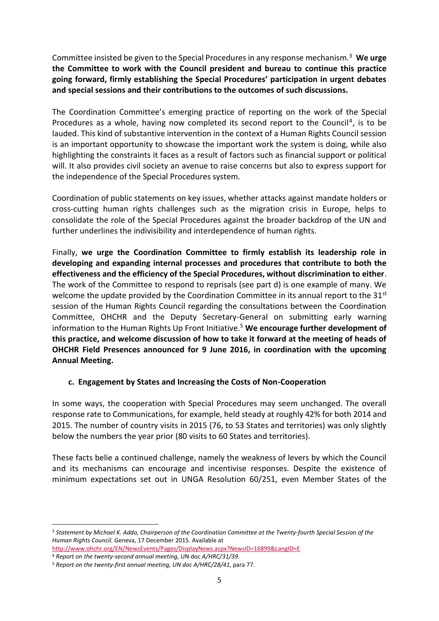Committee insisted be given to the Special Procedures in any response mechanism.<sup>3</sup> **We urge the Committee to work with the Council president and bureau to continue this practice going forward, firmly establishing the Special Procedures' participation in urgent debates and special sessions and their contributions to the outcomes of such discussions.**

The Coordination Committee's emerging practice of reporting on the work of the Special Procedures as a whole, having now completed its second report to the Council<sup>4</sup>, is to be lauded. This kind of substantive intervention in the context of a Human Rights Council session is an important opportunity to showcase the important work the system is doing, while also highlighting the constraints it faces as a result of factors such as financial support or political will. It also provides civil society an avenue to raise concerns but also to express support for the independence of the Special Procedures system.

Coordination of public statements on key issues, whether attacks against mandate holders or cross-cutting human rights challenges such as the migration crisis in Europe, helps to consolidate the role of the Special Procedures against the broader backdrop of the UN and further underlines the indivisibility and interdependence of human rights.

Finally, **we urge the Coordination Committee to firmly establish its leadership role in developing and expanding internal processes and procedures that contribute to both the effectiveness and the efficiency of the Special Procedures, without discrimination to either**. The work of the Committee to respond to reprisals (see part d) is one example of many. We welcome the update provided by the Coordination Committee in its annual report to the  $31^{st}$ session of the Human Rights Council regarding the consultations between the Coordination Committee, OHCHR and the Deputy Secretary-General on submitting early warning information to the Human Rights Up Front Initiative.<sup>5</sup> **We encourage further development of this practice, and welcome discussion of how to take it forward at the meeting of heads of OHCHR Field Presences announced for 9 June 2016, in coordination with the upcoming Annual Meeting.** 

#### **c. Engagement by States and Increasing the Costs of Non-Cooperation**

In some ways, the cooperation with Special Procedures may seem unchanged. The overall response rate to Communications, for example, held steady at roughly 42% for both 2014 and 2015. The number of country visits in 2015 (76, to 53 States and territories) was only slightly below the numbers the year prior (80 visits to 60 States and territories).

These facts belie a continued challenge, namely the weakness of levers by which the Council and its mechanisms can encourage and incentivise responses. Despite the existence of minimum expectations set out in UNGA Resolution 60/251, even Member States of the

<sup>3</sup> *Statement by Michael K. Addo, Chairperson of the Coordination Committee at the Twenty-fourth Special Session of the Human Rights Council.* Geneva, 17 December 2015. Available at <http://www.ohchr.org/EN/NewsEvents/Pages/DisplayNews.aspx?NewsID=16899&LangID=E>

<sup>4</sup> *Report on the twenty-second annual meeting*, UN doc *A/HRC/31/39*.

<sup>5</sup> *Report on the twenty-first annual meeting, UN doc A/HRC/28/41*, para 77.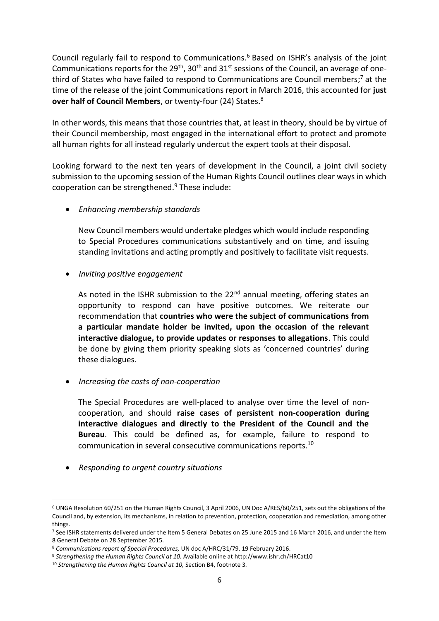Council regularly fail to respond to Communications.<sup>6</sup> Based on ISHR's analysis of the joint Communications reports for the  $29<sup>th</sup>$ ,  $30<sup>th</sup>$  and  $31<sup>st</sup>$  sessions of the Council, an average of onethird of States who have failed to respond to Communications are Council members; <sup>7</sup> at the time of the release of the joint Communications report in March 2016, this accounted for **just over half of Council Members**, or twenty-four (24) States.<sup>8</sup>

In other words, this means that those countries that, at least in theory, should be by virtue of their Council membership, most engaged in the international effort to protect and promote all human rights for all instead regularly undercut the expert tools at their disposal.

Looking forward to the next ten years of development in the Council, a joint civil society submission to the upcoming session of the Human Rights Council outlines clear ways in which cooperation can be strengthened.<sup>9</sup> These include:

*Enhancing membership standards*

New Council members would undertake pledges which would include responding to Special Procedures communications substantively and on time, and issuing standing invitations and acting promptly and positively to facilitate visit requests.

*Inviting positive engagement*

As noted in the ISHR submission to the  $22<sup>nd</sup>$  annual meeting, offering states an opportunity to respond can have positive outcomes. We reiterate our recommendation that **countries who were the subject of communications from a particular mandate holder be invited, upon the occasion of the relevant interactive dialogue, to provide updates or responses to allegations**. This could be done by giving them priority speaking slots as 'concerned countries' during these dialogues.

*Increasing the costs of non-cooperation*

The Special Procedures are well-placed to analyse over time the level of noncooperation, and should **raise cases of persistent non-cooperation during interactive dialogues and directly to the President of the Council and the Bureau**. This could be defined as, for example, failure to respond to communication in several consecutive communications reports.<sup>10</sup>

*Responding to urgent country situations*

<sup>6</sup> UNGA Resolution 60/251 on the Human Rights Council, 3 April 2006, UN Doc A/RES/60/251, sets out the obligations of the Council and, by extension, its mechanisms, in relation to prevention, protection, cooperation and remediation, among other things.

<sup>7</sup> See ISHR statements delivered under the Item 5 General Debates on 25 June 2015 and 16 March 2016, and under the Item 8 General Debate on 28 September 2015.

<sup>8</sup> *Communications report of Special Procedures,* UN doc A/HRC/31/79. 19 February 2016.

<sup>9</sup> *Strengthening the Human Rights Council at 10.* Available online at http://www.ishr.ch/HRCat10

<sup>10</sup> *Strengthening the Human Rights Council at 10,* Section B4, footnote 3*.*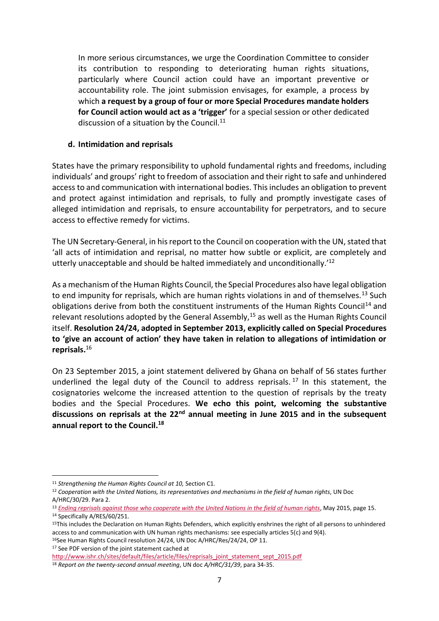In more serious circumstances, we urge the Coordination Committee to consider its contribution to responding to deteriorating human rights situations, particularly where Council action could have an important preventive or accountability role. The joint submission envisages, for example, a process by which **a request by a group of four or more Special Procedures mandate holders for Council action would act as a 'trigger'** for a special session or other dedicated discussion of a situation by the Council. $^{11}$ 

#### **d. Intimidation and reprisals**

States have the primary responsibility to uphold fundamental rights and freedoms, including individuals' and groups' right to freedom of association and their right to safe and unhindered access to and communication with international bodies. This includes an obligation to prevent and protect against intimidation and reprisals, to fully and promptly investigate cases of alleged intimidation and reprisals, to ensure accountability for perpetrators, and to secure access to effective remedy for victims.

The UN Secretary-General, in his report to the Council on cooperation with the UN, stated that 'all acts of intimidation and reprisal, no matter how subtle or explicit, are completely and utterly unacceptable and should be halted immediately and unconditionally.'<sup>12</sup>

As a mechanism of the Human Rights Council, the Special Procedures also have legal obligation to end impunity for reprisals, which are human rights violations in and of themselves.<sup>13</sup> Such obligations derive from both the constituent instruments of the Human Rights Council<sup>14</sup> and relevant resolutions adopted by the General Assembly,<sup>15</sup> as well as the Human Rights Council itself. **Resolution 24/24, adopted in September 2013, explicitly called on Special Procedures to 'give an account of action' they have taken in relation to allegations of intimidation or reprisals.**<sup>16</sup>

On 23 September 2015, a joint statement delivered by Ghana on behalf of 56 states further underlined the legal duty of the Council to address reprisals.<sup>17</sup> In this statement, the cosignatories welcome the increased attention to the question of reprisals by the treaty bodies and the Special Procedures. **We echo this point, welcoming the substantive discussions on reprisals at the 22nd annual meeting in June 2015 and in the subsequent annual report to the Council.<sup>18</sup>**

**.** 

<sup>17</sup> See PDF version of the joint statement cached at

<sup>11</sup> *Strengthening the Human Rights Council at 10,* Section C1*.*

<sup>12</sup> *Cooperation with the United Nations, its representatives and mechanisms in the field of human rights*, UN Doc A/HRC/30/29. Para 2.

<sup>13</sup> *[Ending reprisals against those who cooperate with the United Nations in the field of human rights](http://www.ishr.ch/sites/default/files/article/files/ishr_submission_to_s-g_on_reprisals.pdf)*, May 2015, page 15. <sup>14</sup> Specifically A/RES/60/251.

<sup>&</sup>lt;sup>15</sup>This includes the Declaration on Human Rights Defenders, which explicitly enshrines the right of all persons to unhindered access to and communication with UN human rights mechanisms: see especially articles 5(c) and 9(4). <sup>16</sup>See Human Rights Council resolution 24/24, UN Doc A/HRC/Res/24/24, OP 11.

[http://www.ishr.ch/sites/default/files/article/files/reprisals\\_joint\\_statement\\_sept\\_2015.pdf](http://www.ishr.ch/sites/default/files/article/files/reprisals_joint_statement_sept_2015.pdf)

<sup>18</sup> *Report on the twenty-second annual meeting*, UN doc *A/HRC/31/39*, para 34-35.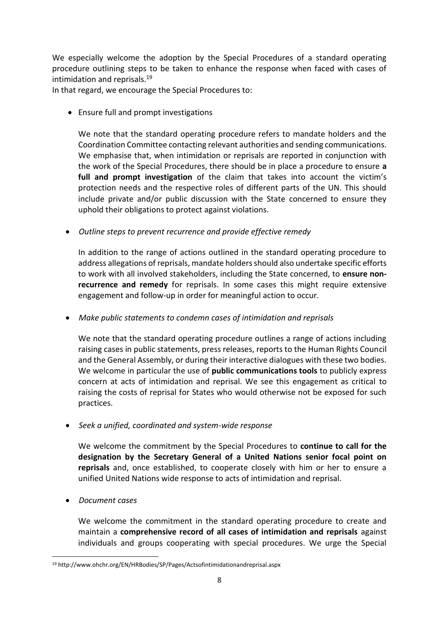We especially welcome the adoption by the Special Procedures of a standard operating procedure outlining steps to be taken to enhance the response when faced with cases of intimidation and reprisals.<sup>19</sup>

In that regard, we encourage the Special Procedures to:

• Ensure full and prompt investigations

We note that the standard operating procedure refers to mandate holders and the Coordination Committee contacting relevant authorities and sending communications. We emphasise that, when intimidation or reprisals are reported in conjunction with the work of the Special Procedures, there should be in place a procedure to ensure **a full and prompt investigation** of the claim that takes into account the victim's protection needs and the respective roles of different parts of the UN. This should include private and/or public discussion with the State concerned to ensure they uphold their obligations to protect against violations.

*Outline steps to prevent recurrence and provide effective remedy*

In addition to the range of actions outlined in the standard operating procedure to address allegations of reprisals, mandate holders should also undertake specific efforts to work with all involved stakeholders, including the State concerned, to **ensure nonrecurrence and remedy** for reprisals. In some cases this might require extensive engagement and follow-up in order for meaningful action to occur.

*Make public statements to condemn cases of intimidation and reprisals*

We note that the standard operating procedure outlines a range of actions including raising cases in public statements, press releases, reports to the Human Rights Council and the General Assembly, or during their interactive dialogues with these two bodies. We welcome in particular the use of **public communications tools** to publicly express concern at acts of intimidation and reprisal. We see this engagement as critical to raising the costs of reprisal for States who would otherwise not be exposed for such practices.

*Seek a unified, coordinated and system-wide response*

We welcome the commitment by the Special Procedures to **continue to call for the designation by the Secretary General of a United Nations senior focal point on reprisals** and, once established, to cooperate closely with him or her to ensure a unified United Nations wide response to acts of intimidation and reprisal.

*Document cases* 

We welcome the commitment in the standard operating procedure to create and maintain a **comprehensive record of all cases of intimidation and reprisals** against individuals and groups cooperating with special procedures. We urge the Special

**<sup>.</sup>** <sup>19</sup> http://www.ohchr.org/EN/HRBodies/SP/Pages/Actsofintimidationandreprisal.aspx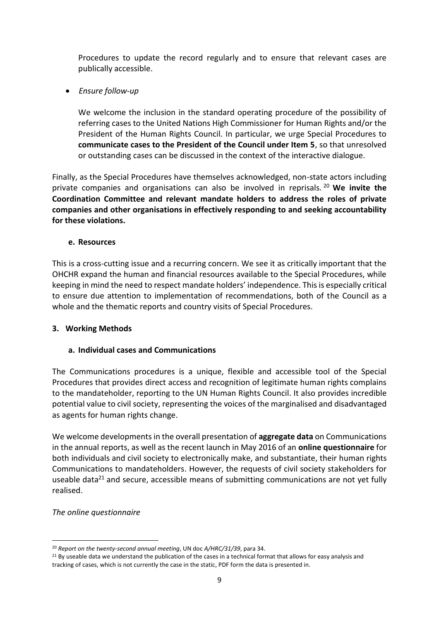Procedures to update the record regularly and to ensure that relevant cases are publically accessible.

*Ensure follow-up*

We welcome the inclusion in the standard operating procedure of the possibility of referring cases to the United Nations High Commissioner for Human Rights and/or the President of the Human Rights Council. In particular, we urge Special Procedures to **communicate cases to the President of the Council under Item 5**, so that unresolved or outstanding cases can be discussed in the context of the interactive dialogue.

Finally, as the Special Procedures have themselves acknowledged, non-state actors including private companies and organisations can also be involved in reprisals. <sup>20</sup> **We invite the Coordination Committee and relevant mandate holders to address the roles of private companies and other organisations in effectively responding to and seeking accountability for these violations.** 

#### **e. Resources**

This is a cross-cutting issue and a recurring concern. We see it as critically important that the OHCHR expand the human and financial resources available to the Special Procedures, while keeping in mind the need to respect mandate holders' independence. This is especially critical to ensure due attention to implementation of recommendations, both of the Council as a whole and the thematic reports and country visits of Special Procedures.

#### **3. Working Methods**

#### **a. Individual cases and Communications**

The Communications procedures is a unique, flexible and accessible tool of the Special Procedures that provides direct access and recognition of legitimate human rights complains to the mandateholder, reporting to the UN Human Rights Council. It also provides incredible potential value to civil society, representing the voices of the marginalised and disadvantaged as agents for human rights change.

We welcome developments in the overall presentation of **aggregate data** on Communications in the annual reports, as well as the recent launch in May 2016 of an **online questionnaire** for both individuals and civil society to electronically make, and substantiate, their human rights Communications to mandateholders. However, the requests of civil society stakeholders for useable data<sup>21</sup> and secure, accessible means of submitting communications are not yet fully realised.

#### *The online questionnaire*

 $\overline{a}$ 

<sup>20</sup> *Report on the twenty-second annual meeting*, UN doc *A/HRC/31/39*, para 34.

 $21$  By useable data we understand the publication of the cases in a technical format that allows for easy analysis and tracking of cases, which is not currently the case in the static, PDF form the data is presented in.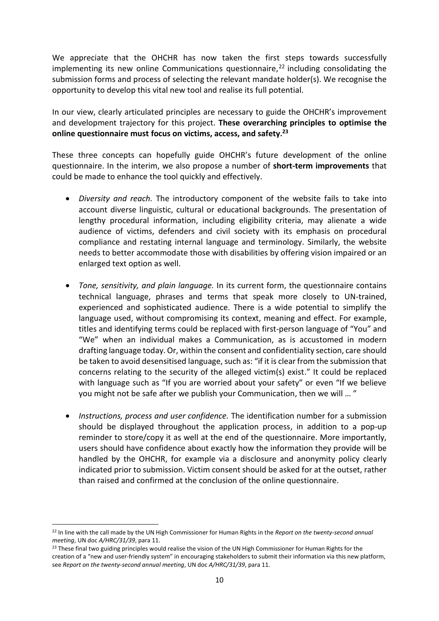We appreciate that the OHCHR has now taken the first steps towards successfully implementing its new online Communications questionnaire,<sup>22</sup> including consolidating the submission forms and process of selecting the relevant mandate holder(s). We recognise the opportunity to develop this vital new tool and realise its full potential.

In our view, clearly articulated principles are necessary to guide the OHCHR's improvement and development trajectory for this project. **These overarching principles to optimise the online questionnaire must focus on victims, access, and safety. 23**

These three concepts can hopefully guide OHCHR's future development of the online questionnaire. In the interim, we also propose a number of **short-term improvements** that could be made to enhance the tool quickly and effectively.

- *Diversity and reach.* The introductory component of the website fails to take into account diverse linguistic, cultural or educational backgrounds. The presentation of lengthy procedural information, including eligibility criteria, may alienate a wide audience of victims, defenders and civil society with its emphasis on procedural compliance and restating internal language and terminology. Similarly, the website needs to better accommodate those with disabilities by offering vision impaired or an enlarged text option as well.
- *Tone, sensitivity, and plain language.* In its current form, the questionnaire contains technical language, phrases and terms that speak more closely to UN-trained, experienced and sophisticated audience. There is a wide potential to simplify the language used, without compromising its context, meaning and effect. For example, titles and identifying terms could be replaced with first-person language of "You" and "We" when an individual makes a Communication, as is accustomed in modern drafting language today. Or, within the consent and confidentiality section, care should be taken to avoid desensitised language, such as: "if it is clear from the submission that concerns relating to the security of the alleged victim(s) exist." It could be replaced with language such as "If you are worried about your safety" or even "If we believe you might not be safe after we publish your Communication, then we will … "
- *Instructions, process and user confidence.* The identification number for a submission should be displayed throughout the application process, in addition to a pop-up reminder to store/copy it as well at the end of the questionnaire. More importantly, users should have confidence about exactly how the information they provide will be handled by the OHCHR, for example via a disclosure and anonymity policy clearly indicated prior to submission. Victim consent should be asked for at the outset, rather than raised and confirmed at the conclusion of the online questionnaire.

<sup>22</sup> In line with the call made by the UN High Commissioner for Human Rights in the *Report on the twenty-second annual meeting*, UN doc *A/HRC/31/39*, para 11.

<sup>&</sup>lt;sup>23</sup> These final two guiding principles would realise the vision of the UN High Commissioner for Human Rights for the creation of a "new and user-friendly system" in encouraging stakeholders to submit their information via this new platform, see *Report on the twenty-second annual meeting*, UN doc *A/HRC/31/39*, para 11.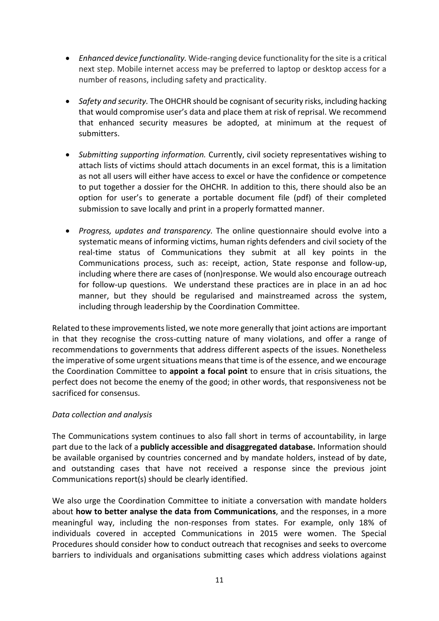- *Enhanced device functionality.* Wide-ranging device functionality for the site is a critical next step. Mobile internet access may be preferred to laptop or desktop access for a number of reasons, including safety and practicality.
- *Safety and security.* The OHCHR should be cognisant of security risks, including hacking that would compromise user's data and place them at risk of reprisal. We recommend that enhanced security measures be adopted, at minimum at the request of submitters.
- *Submitting supporting information.* Currently, civil society representatives wishing to attach lists of victims should attach documents in an excel format, this is a limitation as not all users will either have access to excel or have the confidence or competence to put together a dossier for the OHCHR. In addition to this, there should also be an option for user's to generate a portable document file (pdf) of their completed submission to save locally and print in a properly formatted manner.
- *Progress, updates and transparency.* The online questionnaire should evolve into a systematic means of informing victims, human rights defenders and civil society of the real-time status of Communications they submit at all key points in the Communications process, such as: receipt, action, State response and follow-up, including where there are cases of (non)response. We would also encourage outreach for follow-up questions. We understand these practices are in place in an ad hoc manner, but they should be regularised and mainstreamed across the system, including through leadership by the Coordination Committee.

Related to these improvements listed, we note more generally that joint actions are important in that they recognise the cross-cutting nature of many violations, and offer a range of recommendations to governments that address different aspects of the issues. Nonetheless the imperative of some urgent situations means that time is of the essence, and we encourage the Coordination Committee to **appoint a focal point** to ensure that in crisis situations, the perfect does not become the enemy of the good; in other words, that responsiveness not be sacrificed for consensus.

#### *Data collection and analysis*

The Communications system continues to also fall short in terms of accountability, in large part due to the lack of a **publicly accessible and disaggregated database.** Information should be available organised by countries concerned and by mandate holders, instead of by date, and outstanding cases that have not received a response since the previous joint Communications report(s) should be clearly identified.

We also urge the Coordination Committee to initiate a conversation with mandate holders about **how to better analyse the data from Communications**, and the responses, in a more meaningful way, including the non-responses from states. For example, only 18% of individuals covered in accepted Communications in 2015 were women. The Special Procedures should consider how to conduct outreach that recognises and seeks to overcome barriers to individuals and organisations submitting cases which address violations against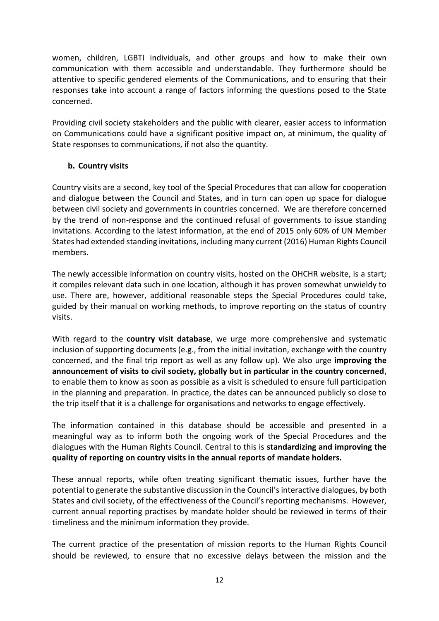women, children, LGBTI individuals, and other groups and how to make their own communication with them accessible and understandable. They furthermore should be attentive to specific gendered elements of the Communications, and to ensuring that their responses take into account a range of factors informing the questions posed to the State concerned.

Providing civil society stakeholders and the public with clearer, easier access to information on Communications could have a significant positive impact on, at minimum, the quality of State responses to communications, if not also the quantity.

#### **b. Country visits**

Country visits are a second, key tool of the Special Procedures that can allow for cooperation and dialogue between the Council and States, and in turn can open up space for dialogue between civil society and governments in countries concerned. We are therefore concerned by the trend of non-response and the continued refusal of governments to issue standing invitations. According to the latest information, at the end of 2015 only 60% of UN Member States had extended standing invitations, including many current (2016) Human Rights Council members.

The newly accessible information on country visits, hosted on the OHCHR website, is a start; it compiles relevant data such in one location, although it has proven somewhat unwieldy to use. There are, however, additional reasonable steps the Special Procedures could take, guided by their manual on working methods, to improve reporting on the status of country visits.

With regard to the **country visit database**, we urge more comprehensive and systematic inclusion of supporting documents (e.g., from the initial invitation, exchange with the country concerned, and the final trip report as well as any follow up). We also urge **improving the announcement of visits to civil society, globally but in particular in the country concerned**, to enable them to know as soon as possible as a visit is scheduled to ensure full participation in the planning and preparation. In practice, the dates can be announced publicly so close to the trip itself that it is a challenge for organisations and networks to engage effectively.

The information contained in this database should be accessible and presented in a meaningful way as to inform both the ongoing work of the Special Procedures and the dialogues with the Human Rights Council. Central to this is **standardizing and improving the quality of reporting on country visits in the annual reports of mandate holders.**

These annual reports, while often treating significant thematic issues, further have the potential to generate the substantive discussion in the Council's interactive dialogues, by both States and civil society, of the effectiveness of the Council's reporting mechanisms. However, current annual reporting practises by mandate holder should be reviewed in terms of their timeliness and the minimum information they provide.

The current practice of the presentation of mission reports to the Human Rights Council should be reviewed, to ensure that no excessive delays between the mission and the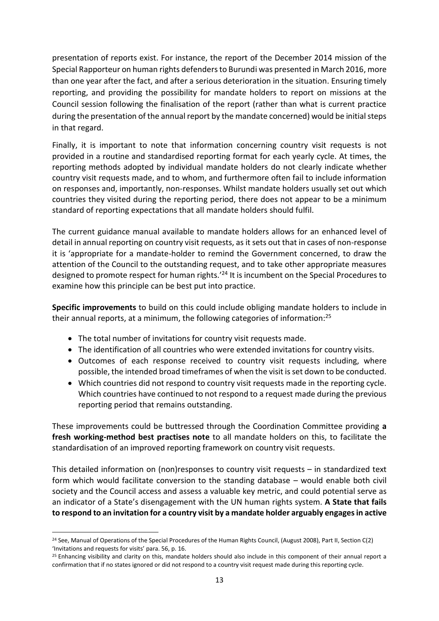presentation of reports exist. For instance, the report of the December 2014 mission of the Special Rapporteur on human rights defenders to Burundi was presented in March 2016, more than one year after the fact, and after a serious deterioration in the situation. Ensuring timely reporting, and providing the possibility for mandate holders to report on missions at the Council session following the finalisation of the report (rather than what is current practice during the presentation of the annual report by the mandate concerned) would be initial steps in that regard.

Finally, it is important to note that information concerning country visit requests is not provided in a routine and standardised reporting format for each yearly cycle. At times, the reporting methods adopted by individual mandate holders do not clearly indicate whether country visit requests made, and to whom, and furthermore often fail to include information on responses and, importantly, non-responses. Whilst mandate holders usually set out which countries they visited during the reporting period, there does not appear to be a minimum standard of reporting expectations that all mandate holders should fulfil.

The current guidance manual available to mandate holders allows for an enhanced level of detail in annual reporting on country visit requests, as it sets out that in cases of non-response it is 'appropriate for a mandate-holder to remind the Government concerned, to draw the attention of the Council to the outstanding request, and to take other appropriate measures designed to promote respect for human rights.<sup>'24</sup> It is incumbent on the Special Procedures to examine how this principle can be best put into practice.

**Specific improvements** to build on this could include obliging mandate holders to include in their annual reports, at a minimum, the following categories of information:<sup>25</sup>

- The total number of invitations for country visit requests made.
- The identification of all countries who were extended invitations for country visits.
- Outcomes of each response received to country visit requests including, where possible, the intended broad timeframes of when the visit is set down to be conducted.
- Which countries did not respond to country visit requests made in the reporting cycle. Which countries have continued to not respond to a request made during the previous reporting period that remains outstanding.

These improvements could be buttressed through the Coordination Committee providing **a fresh working-method best practises note** to all mandate holders on this, to facilitate the standardisation of an improved reporting framework on country visit requests.

This detailed information on (non)responses to country visit requests – in standardized text form which would facilitate conversion to the standing database – would enable both civil society and the Council access and assess a valuable key metric, and could potential serve as an indicator of a State's disengagement with the UN human rights system. **A State that fails to respond to an invitation for a country visit by a mandate holder arguably engages in active** 

 $24$  See, Manual of Operations of the Special Procedures of the Human Rights Council, (August 2008), Part II, Section C(2) 'Invitations and requests for visits' para. 56, p. 16.

<sup>&</sup>lt;sup>25</sup> Enhancing visibility and clarity on this, mandate holders should also include in this component of their annual report a confirmation that if no states ignored or did not respond to a country visit request made during this reporting cycle.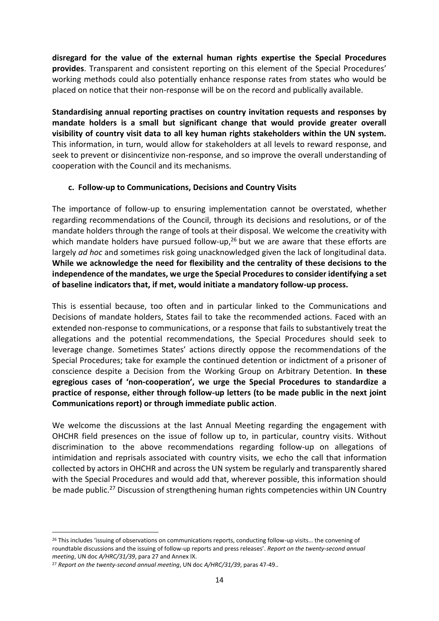**disregard for the value of the external human rights expertise the Special Procedures provides**. Transparent and consistent reporting on this element of the Special Procedures' working methods could also potentially enhance response rates from states who would be placed on notice that their non-response will be on the record and publically available.

**Standardising annual reporting practises on country invitation requests and responses by mandate holders is a small but significant change that would provide greater overall visibility of country visit data to all key human rights stakeholders within the UN system.** This information, in turn, would allow for stakeholders at all levels to reward response, and seek to prevent or disincentivize non-response, and so improve the overall understanding of cooperation with the Council and its mechanisms.

#### **c. Follow-up to Communications, Decisions and Country Visits**

The importance of follow-up to ensuring implementation cannot be overstated, whether regarding recommendations of the Council, through its decisions and resolutions, or of the mandate holders through the range of tools at their disposal. We welcome the creativity with which mandate holders have pursued follow-up, $^{26}$  but we are aware that these efforts are largely *ad hoc* and sometimes risk going unacknowledged given the lack of longitudinal data. **While we acknowledge the need for flexibility and the centrality of these decisions to the independence of the mandates, we urge the Special Procedures to consider identifying a set of baseline indicators that, if met, would initiate a mandatory follow-up process.**

This is essential because, too often and in particular linked to the Communications and Decisions of mandate holders, States fail to take the recommended actions. Faced with an extended non-response to communications, or a response that fails to substantively treat the allegations and the potential recommendations, the Special Procedures should seek to leverage change. Sometimes States' actions directly oppose the recommendations of the Special Procedures; take for example the continued detention or indictment of a prisoner of conscience despite a Decision from the Working Group on Arbitrary Detention. **In these egregious cases of 'non-cooperation', we urge the Special Procedures to standardize a practice of response, either through follow-up letters (to be made public in the next joint Communications report) or through immediate public action**.

We welcome the discussions at the last Annual Meeting regarding the engagement with OHCHR field presences on the issue of follow up to, in particular, country visits. Without discrimination to the above recommendations regarding follow-up on allegations of intimidation and reprisals associated with country visits, we echo the call that information collected by actors in OHCHR and across the UN system be regularly and transparently shared with the Special Procedures and would add that, wherever possible, this information should be made public.<sup>27</sup> Discussion of strengthening human rights competencies within UN Country

<sup>&</sup>lt;sup>26</sup> This includes 'issuing of observations on communications reports, conducting follow-up visits... the convening of roundtable discussions and the issuing of follow-up reports and press releases'. *Report on the twenty-second annual meeting*, UN doc *A/HRC/31/39*, para 27 and Annex IX.

<sup>27</sup> *Report on the twenty-second annual meeting*, UN doc *A/HRC/31/39*, paras 47-49..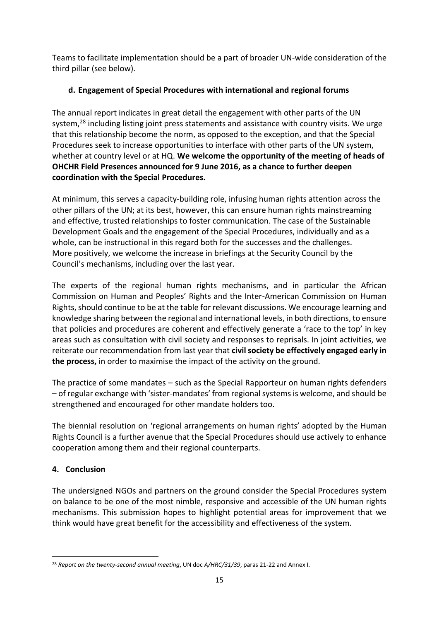Teams to facilitate implementation should be a part of broader UN-wide consideration of the third pillar (see below).

## **d. Engagement of Special Procedures with international and regional forums**

The annual report indicates in great detail the engagement with other parts of the UN system,<sup>28</sup> including listing joint press statements and assistance with country visits. We urge that this relationship become the norm, as opposed to the exception, and that the Special Procedures seek to increase opportunities to interface with other parts of the UN system, whether at country level or at HQ. **We welcome the opportunity of the meeting of heads of OHCHR Field Presences announced for 9 June 2016, as a chance to further deepen coordination with the Special Procedures.** 

At minimum, this serves a capacity-building role, infusing human rights attention across the other pillars of the UN; at its best, however, this can ensure human rights mainstreaming and effective, trusted relationships to foster communication. The case of the Sustainable Development Goals and the engagement of the Special Procedures, individually and as a whole, can be instructional in this regard both for the successes and the challenges. More positively, we welcome the increase in briefings at the Security Council by the Council's mechanisms, including over the last year.

The experts of the regional human rights mechanisms, and in particular the African Commission on Human and Peoples' Rights and the Inter-American Commission on Human Rights, should continue to be at the table for relevant discussions. We encourage learning and knowledge sharing between the regional and international levels, in both directions, to ensure that policies and procedures are coherent and effectively generate a 'race to the top' in key areas such as consultation with civil society and responses to reprisals. In joint activities, we reiterate our recommendation from last year that **civil society be effectively engaged early in the process,** in order to maximise the impact of the activity on the ground.

The practice of some mandates – such as the Special Rapporteur on human rights defenders – of regular exchange with 'sister-mandates' from regional systems is welcome, and should be strengthened and encouraged for other mandate holders too.

The biennial resolution on 'regional arrangements on human rights' adopted by the Human Rights Council is a further avenue that the Special Procedures should use actively to enhance cooperation among them and their regional counterparts.

### **4. Conclusion**

The undersigned NGOs and partners on the ground consider the Special Procedures system on balance to be one of the most nimble, responsive and accessible of the UN human rights mechanisms. This submission hopes to highlight potential areas for improvement that we think would have great benefit for the accessibility and effectiveness of the system.

**<sup>.</sup>** <sup>28</sup> *Report on the twenty-second annual meeting*, UN doc *A/HRC/31/39*, paras 21-22 and Annex I.